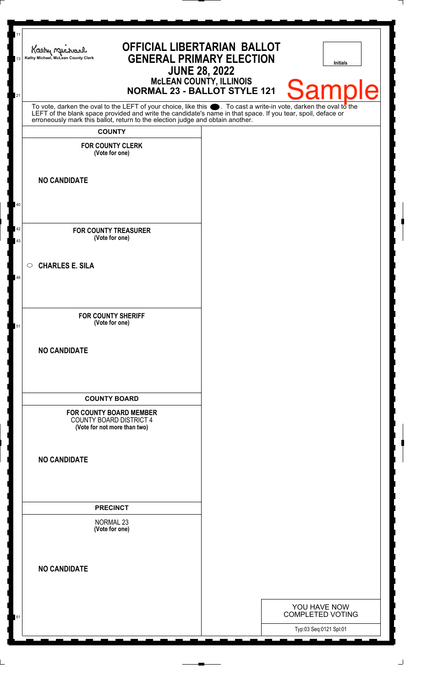| Kathy Michael<br>Kathy Michael, McLean County Clerk<br>13                                                                                                                                                                                                                                                              | <b>OFFICIAL LIBERTARIAN BALLOT</b><br><b>GENERAL PRIMARY ELECTION</b><br><b>JUNE 28, 2022</b> | <b>Initials</b>                         |
|------------------------------------------------------------------------------------------------------------------------------------------------------------------------------------------------------------------------------------------------------------------------------------------------------------------------|-----------------------------------------------------------------------------------------------|-----------------------------------------|
|                                                                                                                                                                                                                                                                                                                        | McLEAN COUNTY, ILLINOIS<br>NORMAL 23 - BALLOT STYLE 121                                       | <b>Sample</b>                           |
| To vote, darken the oval to the LEFT of your choice, like this $\bullet$ . To cast a write-in vote, darken the oval to the LEFT of the blank space provided and write the candidate's name in that space. If you tear, spoil, deface<br>erroneously mark this ballot, return to the election judge and obtain another. |                                                                                               |                                         |
| <b>COUNTY</b><br><b>FOR COUNTY CLERK</b>                                                                                                                                                                                                                                                                               |                                                                                               |                                         |
| (Vote for one)                                                                                                                                                                                                                                                                                                         |                                                                                               |                                         |
| <b>NO CANDIDATE</b>                                                                                                                                                                                                                                                                                                    |                                                                                               |                                         |
|                                                                                                                                                                                                                                                                                                                        |                                                                                               |                                         |
| <b>FOR COUNTY TREASURER</b><br>(Vote for one)<br>43                                                                                                                                                                                                                                                                    |                                                                                               |                                         |
| <b>CHARLES E. SILA</b><br>$\circ$                                                                                                                                                                                                                                                                                      |                                                                                               |                                         |
| <b>FOR COUNTY SHERIFF</b><br>(Vote for one)<br>51                                                                                                                                                                                                                                                                      |                                                                                               |                                         |
| <b>NO CANDIDATE</b>                                                                                                                                                                                                                                                                                                    |                                                                                               |                                         |
| <b>COUNTY BOARD</b>                                                                                                                                                                                                                                                                                                    |                                                                                               |                                         |
| <b>FOR COUNTY BOARD MEMBER</b><br><b>COUNTY BOARD DISTRICT 4</b><br>(Vote for not more than two)                                                                                                                                                                                                                       |                                                                                               |                                         |
| <b>NO CANDIDATE</b>                                                                                                                                                                                                                                                                                                    |                                                                                               |                                         |
| <b>PRECINCT</b>                                                                                                                                                                                                                                                                                                        |                                                                                               |                                         |
| <b>NORMAL 23</b><br>(Vote for one)                                                                                                                                                                                                                                                                                     |                                                                                               |                                         |
| <b>NO CANDIDATE</b>                                                                                                                                                                                                                                                                                                    |                                                                                               |                                         |
|                                                                                                                                                                                                                                                                                                                        |                                                                                               |                                         |
|                                                                                                                                                                                                                                                                                                                        |                                                                                               | YOU HAVE NOW<br><b>COMPLETED VOTING</b> |
|                                                                                                                                                                                                                                                                                                                        |                                                                                               | Typ:03 Seq:0121 Spl:01                  |

 $\perp$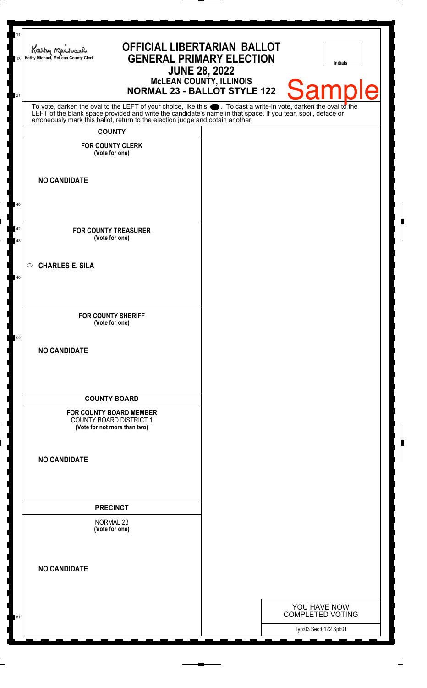| 11<br>13 | <b>OFFICIAL LIBERTARIAN BALLOT</b><br>Kathy Michael<br><b>GENERAL PRIMARY ELECTION</b><br>Kathy Michael, McLean County Clerk<br>McLEAN COUNTY, ILLINOIS<br>NORMAL 23 - BALLOT STYLE 122                                                                                                                                | <b>JUNE 28, 2022</b> | <b>Initials</b>                         |
|----------|------------------------------------------------------------------------------------------------------------------------------------------------------------------------------------------------------------------------------------------------------------------------------------------------------------------------|----------------------|-----------------------------------------|
| 21       |                                                                                                                                                                                                                                                                                                                        |                      | <b>Sample</b>                           |
|          | To vote, darken the oval to the LEFT of your choice, like this $\bullet$ . To cast a write-in vote, darken the oval to the LEFT of the blank space provided and write the candidate's name in that space. If you tear, spoil, deface<br>erroneously mark this ballot, return to the election judge and obtain another. |                      |                                         |
|          | <b>COUNTY</b>                                                                                                                                                                                                                                                                                                          |                      |                                         |
|          | <b>FOR COUNTY CLERK</b><br>(Vote for one)                                                                                                                                                                                                                                                                              |                      |                                         |
|          | <b>NO CANDIDATE</b>                                                                                                                                                                                                                                                                                                    |                      |                                         |
| 40       |                                                                                                                                                                                                                                                                                                                        |                      |                                         |
| 42<br>43 | <b>FOR COUNTY TREASURER</b><br>(Vote for one)                                                                                                                                                                                                                                                                          |                      |                                         |
| 46       | <b>CHARLES E. SILA</b><br>$\circ$                                                                                                                                                                                                                                                                                      |                      |                                         |
| 52       | <b>FOR COUNTY SHERIFF</b><br>(Vote for one)                                                                                                                                                                                                                                                                            |                      |                                         |
|          | <b>NO CANDIDATE</b>                                                                                                                                                                                                                                                                                                    |                      |                                         |
|          | <b>COUNTY BOARD</b>                                                                                                                                                                                                                                                                                                    |                      |                                         |
|          | <b>FOR COUNTY BOARD MEMBER</b><br><b>COUNTY BOARD DISTRICT 1</b><br>(Vote for not more than two)                                                                                                                                                                                                                       |                      |                                         |
|          | <b>NO CANDIDATE</b>                                                                                                                                                                                                                                                                                                    |                      |                                         |
|          | <b>PRECINCT</b>                                                                                                                                                                                                                                                                                                        |                      |                                         |
|          | <b>NORMAL 23</b><br>(Vote for one)                                                                                                                                                                                                                                                                                     |                      |                                         |
|          | <b>NO CANDIDATE</b>                                                                                                                                                                                                                                                                                                    |                      |                                         |
|          |                                                                                                                                                                                                                                                                                                                        |                      |                                         |
|          |                                                                                                                                                                                                                                                                                                                        |                      | YOU HAVE NOW<br><b>COMPLETED VOTING</b> |
| 61       |                                                                                                                                                                                                                                                                                                                        |                      | Typ:03 Seq:0122 Spl:01                  |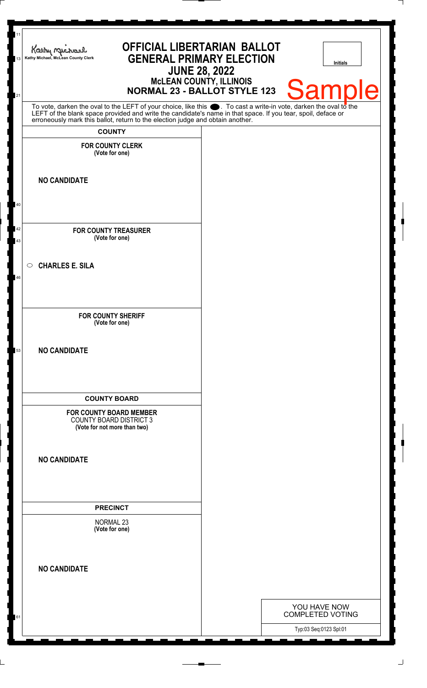| Kathy Michael<br>Kathy Michael, McLean County Clerk                                                                                                                                                                                  | <b>OFFICIAL LIBERTARIAN BALLOT</b><br><b>JUNE 28, 2022</b> | <b>GENERAL PRIMARY ELECTION</b><br>McLEAN COUNTY, ILLINOIS<br>NORMAL 23 - BALLOT STYLE 123 | Initials<br><b>Sample</b>               |
|--------------------------------------------------------------------------------------------------------------------------------------------------------------------------------------------------------------------------------------|------------------------------------------------------------|--------------------------------------------------------------------------------------------|-----------------------------------------|
| To vote, darken the oval to the LEFT of your choice, like this $\bullet$ . To cast a write-in vote, darken the oval to the LEFT of the blank space provided and write the candidate's name in that space. If you tear, spoil, deface |                                                            |                                                                                            |                                         |
| erroneously mark this ballot, return to the election judge and obtain another.<br><b>COUNTY</b>                                                                                                                                      |                                                            |                                                                                            |                                         |
| <b>FOR COUNTY CLERK</b><br>(Vote for one)                                                                                                                                                                                            |                                                            |                                                                                            |                                         |
| <b>NO CANDIDATE</b>                                                                                                                                                                                                                  |                                                            |                                                                                            |                                         |
|                                                                                                                                                                                                                                      |                                                            |                                                                                            |                                         |
| <b>FOR COUNTY TREASURER</b><br>(Vote for one)                                                                                                                                                                                        |                                                            |                                                                                            |                                         |
| <b>CHARLES E. SILA</b><br>$\circ$                                                                                                                                                                                                    |                                                            |                                                                                            |                                         |
| <b>FOR COUNTY SHERIFF</b><br>(Vote for one)                                                                                                                                                                                          |                                                            |                                                                                            |                                         |
| <b>NO CANDIDATE</b>                                                                                                                                                                                                                  |                                                            |                                                                                            |                                         |
| <b>COUNTY BOARD</b>                                                                                                                                                                                                                  |                                                            |                                                                                            |                                         |
| <b>FOR COUNTY BOARD MEMBER</b><br><b>COUNTY BOARD DISTRICT 3</b><br>(Vote for not more than two)                                                                                                                                     |                                                            |                                                                                            |                                         |
| <b>NO CANDIDATE</b>                                                                                                                                                                                                                  |                                                            |                                                                                            |                                         |
| <b>PRECINCT</b>                                                                                                                                                                                                                      |                                                            |                                                                                            |                                         |
| <b>NORMAL 23</b><br>(Vote for one)                                                                                                                                                                                                   |                                                            |                                                                                            |                                         |
| <b>NO CANDIDATE</b>                                                                                                                                                                                                                  |                                                            |                                                                                            |                                         |
|                                                                                                                                                                                                                                      |                                                            |                                                                                            |                                         |
|                                                                                                                                                                                                                                      |                                                            |                                                                                            | YOU HAVE NOW<br><b>COMPLETED VOTING</b> |

 $\perp$